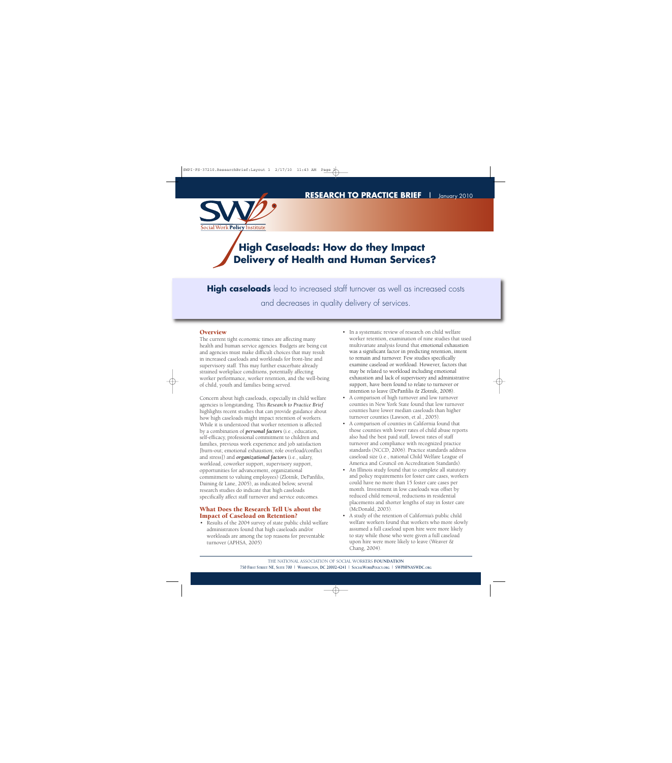

# **High Caseloads: How do they Impact Delivery of Health and Human Services?**

**High caseloads** lead to increased staff turnover as well as increased costs and decreases in quality delivery of services.

#### **Overview**

The current tight economic times are affecting many health and human service agencies. Budgets are being cut and agencies must make difficult choices that may result in increased caseloads and workloads for front-line and supervisory staff. This may further exacerbate already strained workplace conditions, potentially affecting worker performance, worker retention, and the well-being of child, youth and families being served.

Concern about high caseloads, especially in child welfare agencies is longstanding. This *Research to Practice Brief* highlights recent studies that can provide guidance about how high caseloads might impact retention of workers. While it is understood that worker retention is affected by a combination of *personal factors* (i.e., education, self-efficacy, professional commitment to children and families, previous work experience and job satisfaction [burn-out; emotional exhaustion; role overload/conflict and stress]) and *organizational factors* (i.e., salary, workload, coworker support, supervisory support, opportunities for advancement, organizational commitment to valuing employees) (Zlotnik, DePanfilis, Daining & Lane, 2005), as indicated below, several research studies do indicate that high caseloads specifically affect staff turnover and service outcomes.

#### **What Does the Research Tell Us about the Impact of Caseload on Retention?**

• Results of the 2004 survey of state public child welfare administrators found that high caseloads and/or workloads are among the top reasons for preventable turnover (APHSA, 2005)

- In a systematic review of research on child welfare worker retention, examination of nine studies that used multivariate analysis found that emotional exhaustion was a significant factor in predicting retention, intent to remain and turnover. Few studies specifically examine caseload or workload. However, factors that may be related to workload including emotional exhaustion and lack of supervisory and administrative support, have been found to relate to turnover or intention to leave (DePanfilis & Zlotnik, 2008).
- A comparison of high turnover and low turnover counties in New York State found that low turnover counties have lower median caseloads than higher turnover counties (Lawson, et al., 2005).
- A comparison of counties in California found that those counties with lower rates of child abuse reports also had the best paid staff, lowest rates of staff turnover and compliance with recognized practice standards (NCCD, 2006). Practice standards address caseload size (i.e., national Child Welfare League of America and Council on Accreditation Standards).
- An Illinois study found that to complete all statutory and policy requirements for foster care cases, workers could have no more than 15 foster care cases per month. Investment in low caseloads was offset by reduced child removal, reductions in residential placements and shorter lengths of stay in foster care (McDonald, 2003).
- A study of the retention of California's public child welfare workers found that workers who more slowly assumed a full caseload upon hire were more likely to stay while those who were given a full caseload upon hire were more likely to leave (Weaver & Chang, 2004).